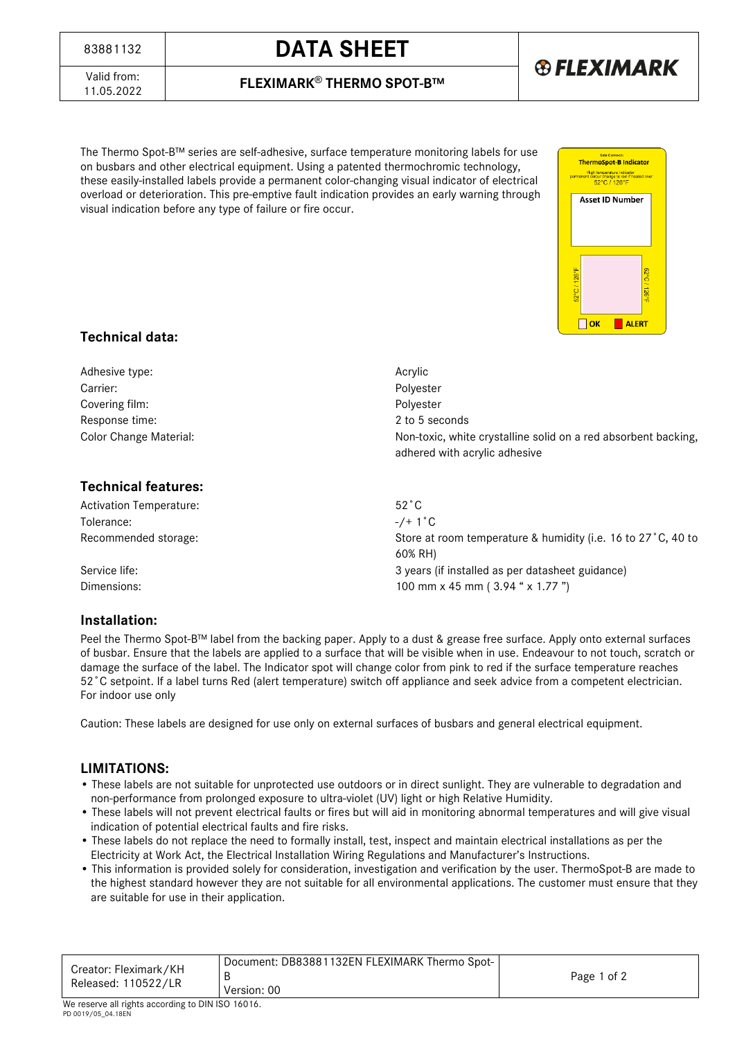## <sup>83881132</sup> **DATA SHEET**



Valid from:<br>11.05.2022

11.05.2022 **FLEXIMARK**® **THERMO SPOT-B™**

The Thermo Spot-B™ series are self-adhesive, surface temperature monitoring labels for use on busbars and other electrical equipment. Using a patented thermochromic technology, these easily-installed labels provide a permanent color-changing visual indicator of electrical overload or deterioration. This pre-emptive fault indication provides an early warning through visual indication before any type of failure or fire occur.



#### **Technical data:**

| Adhesive type:<br>Carrier:<br>Covering film:<br>Response time:<br>Color Change Material: | Acrylic<br>Polyester<br>Polyester<br>2 to 5 seconds<br>Non-toxic, white crystalline solid on a red absorbent backing,<br>adhered with acrylic adhesive |  |
|------------------------------------------------------------------------------------------|--------------------------------------------------------------------------------------------------------------------------------------------------------|--|
| <b>Technical features:</b>                                                               |                                                                                                                                                        |  |
| <b>Activation Temperature:</b>                                                           | $52^{\circ}$ C                                                                                                                                         |  |
| Tolerance:                                                                               | $-/-1$ °C                                                                                                                                              |  |
| Recommended storage:                                                                     | Store at room temperature & humidity (i.e. 16 to 27 °C, 40 to<br>60% RH)                                                                               |  |
| Service life:                                                                            | 3 years (if installed as per datasheet guidance)                                                                                                       |  |
| Dimensions:                                                                              | 100 mm x 45 mm (3.94 " x 1.77")                                                                                                                        |  |

#### **Installation:**

Peel the Thermo Spot-B™ label from the backing paper. Apply to a dust & grease free surface. Apply onto external surfaces of busbar. Ensure that the labels are applied to a surface that will be visible when in use. Endeavour to not touch, scratch or damage the surface of the label. The Indicator spot will change color from pink to red if the surface temperature reaches 52˚C setpoint. If a label turns Red (alert temperature) switch off appliance and seek advice from a competent electrician. For indoor use only

Caution: These labels are designed for use only on external surfaces of busbars and general electrical equipment.

#### **LIMITATIONS:**

- These labels are not suitable for unprotected use outdoors or in direct sunlight. They are vulnerable to degradation and non-performance from prolonged exposure to ultra-violet (UV) light or high Relative Humidity.
- These labels will not prevent electrical faults or fires but will aid in monitoring abnormal temperatures and will give visual indication of potential electrical faults and fire risks.
- These labels do not replace the need to formally install, test, inspect and maintain electrical installations as per the Electricity at Work Act, the Electrical Installation Wiring Regulations and Manufacturer's Instructions.
- This information is provided solely for consideration, investigation and verification by the user. ThermoSpot-B are made to the highest standard however they are not suitable for all environmental applications. The customer must ensure that they are suitable for use in their application.

| Creator: Fleximark/KH<br>Released: 110522/LR                                                                                                   | Document: DB83881132EN FLEXIMARK Thermo Spot-<br>Version: 00 | Page 1 of 2 |  |  |
|------------------------------------------------------------------------------------------------------------------------------------------------|--------------------------------------------------------------|-------------|--|--|
| $\mathbf{u}$ $\mathbf{u}$ $\mathbf{v}$ $\mathbf{v}$ $\mathbf{v}$ $\mathbf{v}$ $\mathbf{v}$ $\mathbf{v}$ $\mathbf{v}$ $\mathbf{v}$ $\mathbf{v}$ |                                                              |             |  |  |